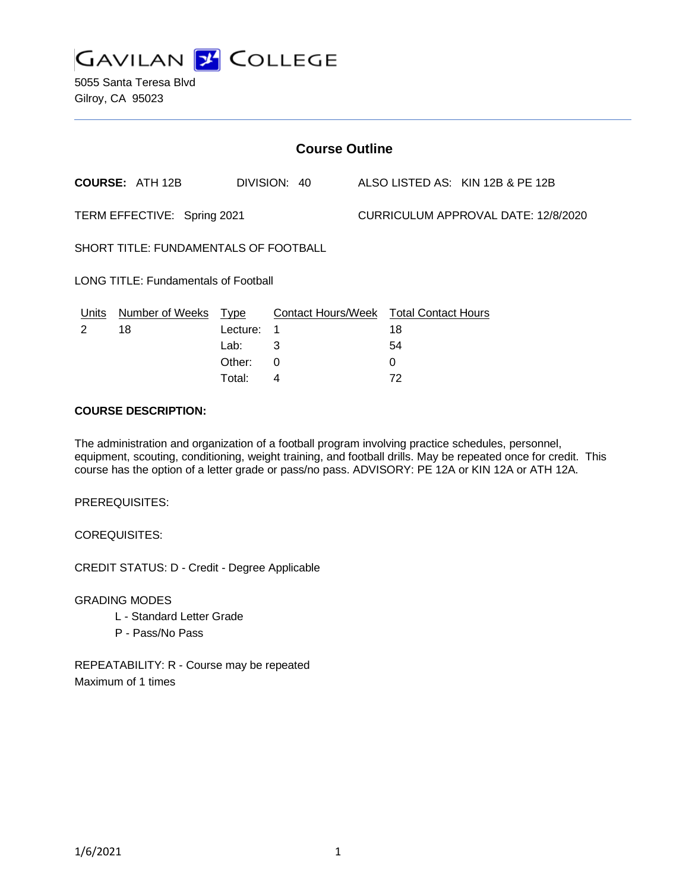

5055 Santa Teresa Blvd Gilroy, CA 95023

| <b>Course Outline</b>                       |                        |             |                                        |  |    |                                     |
|---------------------------------------------|------------------------|-------------|----------------------------------------|--|----|-------------------------------------|
|                                             | <b>COURSE: ATH 12B</b> |             | DIVISION: 40                           |  |    | ALSO LISTED AS: KIN 12B & PE 12B    |
| TERM EFFECTIVE: Spring 2021                 |                        |             |                                        |  |    | CURRICULUM APPROVAL DATE: 12/8/2020 |
| SHORT TITLE: FUNDAMENTALS OF FOOTBALL       |                        |             |                                        |  |    |                                     |
| <b>LONG TITLE: Fundamentals of Football</b> |                        |             |                                        |  |    |                                     |
| Units                                       | Number of Weeks        | <u>Type</u> | Contact Hours/Week Total Contact Hours |  |    |                                     |
| 2                                           | 18                     | Lecture:    | 1                                      |  | 18 |                                     |
|                                             |                        | Lab:        | 3                                      |  | 54 |                                     |
|                                             |                        | Other:      | 0                                      |  | 0  |                                     |
|                                             |                        | Total:      | 4                                      |  | 72 |                                     |

### **COURSE DESCRIPTION:**

The administration and organization of a football program involving practice schedules, personnel, equipment, scouting, conditioning, weight training, and football drills. May be repeated once for credit. This course has the option of a letter grade or pass/no pass. ADVISORY: PE 12A or KIN 12A or ATH 12A.

PREREQUISITES:

COREQUISITES:

CREDIT STATUS: D - Credit - Degree Applicable

GRADING MODES

- L Standard Letter Grade
- P Pass/No Pass

REPEATABILITY: R - Course may be repeated Maximum of 1 times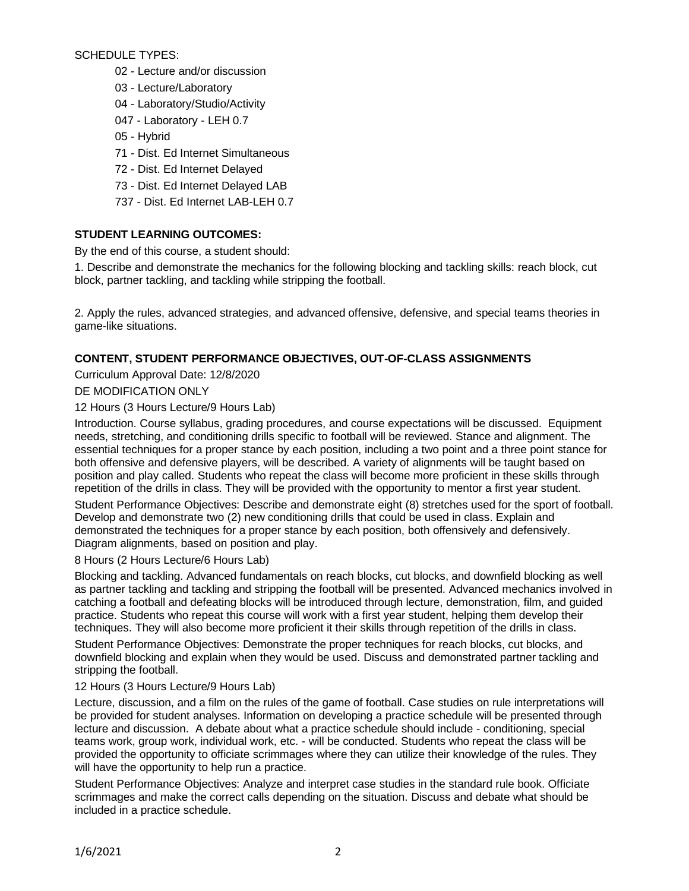SCHEDULE TYPES:

- 02 Lecture and/or discussion
- 03 Lecture/Laboratory
- 04 Laboratory/Studio/Activity
- 047 Laboratory LEH 0.7
- 05 Hybrid
- 71 Dist. Ed Internet Simultaneous
- 72 Dist. Ed Internet Delayed
- 73 Dist. Ed Internet Delayed LAB
- 737 Dist. Ed Internet LAB-LEH 0.7

# **STUDENT LEARNING OUTCOMES:**

By the end of this course, a student should:

1. Describe and demonstrate the mechanics for the following blocking and tackling skills: reach block, cut block, partner tackling, and tackling while stripping the football.

2. Apply the rules, advanced strategies, and advanced offensive, defensive, and special teams theories in game-like situations.

# **CONTENT, STUDENT PERFORMANCE OBJECTIVES, OUT-OF-CLASS ASSIGNMENTS**

Curriculum Approval Date: 12/8/2020

# DE MODIFICATION ONLY

## 12 Hours (3 Hours Lecture/9 Hours Lab)

Introduction. Course syllabus, grading procedures, and course expectations will be discussed. Equipment needs, stretching, and conditioning drills specific to football will be reviewed. Stance and alignment. The essential techniques for a proper stance by each position, including a two point and a three point stance for both offensive and defensive players, will be described. A variety of alignments will be taught based on position and play called. Students who repeat the class will become more proficient in these skills through repetition of the drills in class. They will be provided with the opportunity to mentor a first year student.

Student Performance Objectives: Describe and demonstrate eight (8) stretches used for the sport of football. Develop and demonstrate two (2) new conditioning drills that could be used in class. Explain and demonstrated the techniques for a proper stance by each position, both offensively and defensively. Diagram alignments, based on position and play.

8 Hours (2 Hours Lecture/6 Hours Lab)

Blocking and tackling. Advanced fundamentals on reach blocks, cut blocks, and downfield blocking as well as partner tackling and tackling and stripping the football will be presented. Advanced mechanics involved in catching a football and defeating blocks will be introduced through lecture, demonstration, film, and guided practice. Students who repeat this course will work with a first year student, helping them develop their techniques. They will also become more proficient it their skills through repetition of the drills in class.

Student Performance Objectives: Demonstrate the proper techniques for reach blocks, cut blocks, and downfield blocking and explain when they would be used. Discuss and demonstrated partner tackling and stripping the football.

12 Hours (3 Hours Lecture/9 Hours Lab)

Lecture, discussion, and a film on the rules of the game of football. Case studies on rule interpretations will be provided for student analyses. Information on developing a practice schedule will be presented through lecture and discussion. A debate about what a practice schedule should include - conditioning, special teams work, group work, individual work, etc. - will be conducted. Students who repeat the class will be provided the opportunity to officiate scrimmages where they can utilize their knowledge of the rules. They will have the opportunity to help run a practice.

Student Performance Objectives: Analyze and interpret case studies in the standard rule book. Officiate scrimmages and make the correct calls depending on the situation. Discuss and debate what should be included in a practice schedule.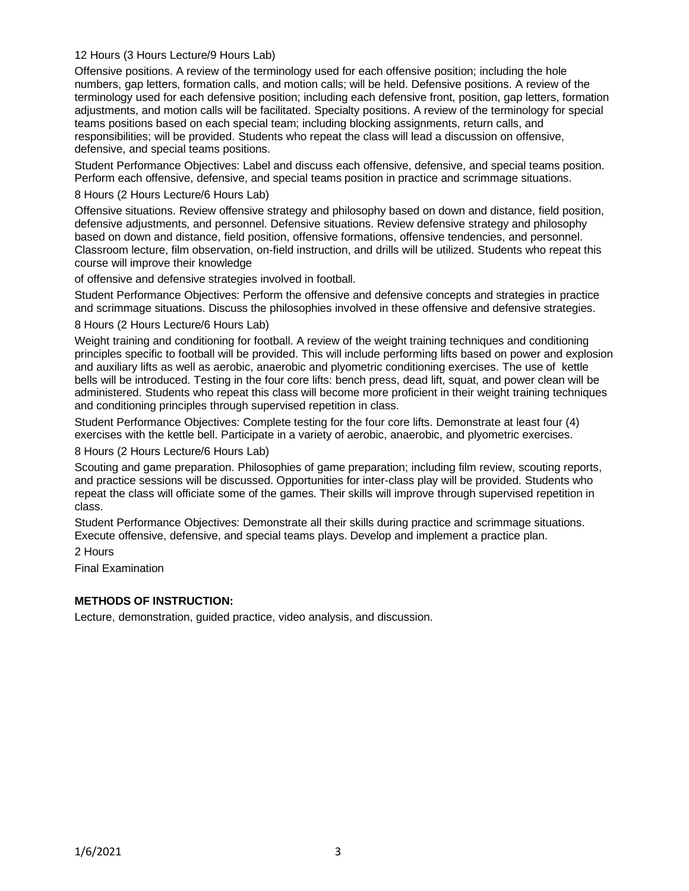### 12 Hours (3 Hours Lecture/9 Hours Lab)

Offensive positions. A review of the terminology used for each offensive position; including the hole numbers, gap letters, formation calls, and motion calls; will be held. Defensive positions. A review of the terminology used for each defensive position; including each defensive front, position, gap letters, formation adjustments, and motion calls will be facilitated. Specialty positions. A review of the terminology for special teams positions based on each special team; including blocking assignments, return calls, and responsibilities; will be provided. Students who repeat the class will lead a discussion on offensive, defensive, and special teams positions.

Student Performance Objectives: Label and discuss each offensive, defensive, and special teams position. Perform each offensive, defensive, and special teams position in practice and scrimmage situations.

#### 8 Hours (2 Hours Lecture/6 Hours Lab)

Offensive situations. Review offensive strategy and philosophy based on down and distance, field position, defensive adjustments, and personnel. Defensive situations. Review defensive strategy and philosophy based on down and distance, field position, offensive formations, offensive tendencies, and personnel. Classroom lecture, film observation, on-field instruction, and drills will be utilized. Students who repeat this course will improve their knowledge

of offensive and defensive strategies involved in football.

Student Performance Objectives: Perform the offensive and defensive concepts and strategies in practice and scrimmage situations. Discuss the philosophies involved in these offensive and defensive strategies.

#### 8 Hours (2 Hours Lecture/6 Hours Lab)

Weight training and conditioning for football. A review of the weight training techniques and conditioning principles specific to football will be provided. This will include performing lifts based on power and explosion and auxiliary lifts as well as aerobic, anaerobic and plyometric conditioning exercises. The use of kettle bells will be introduced. Testing in the four core lifts: bench press, dead lift, squat, and power clean will be administered. Students who repeat this class will become more proficient in their weight training techniques and conditioning principles through supervised repetition in class.

Student Performance Objectives: Complete testing for the four core lifts. Demonstrate at least four (4) exercises with the kettle bell. Participate in a variety of aerobic, anaerobic, and plyometric exercises.

## 8 Hours (2 Hours Lecture/6 Hours Lab)

Scouting and game preparation. Philosophies of game preparation; including film review, scouting reports, and practice sessions will be discussed. Opportunities for inter-class play will be provided. Students who repeat the class will officiate some of the games. Their skills will improve through supervised repetition in class.

Student Performance Objectives: Demonstrate all their skills during practice and scrimmage situations. Execute offensive, defensive, and special teams plays. Develop and implement a practice plan.

2 Hours

Final Examination

## **METHODS OF INSTRUCTION:**

Lecture, demonstration, guided practice, video analysis, and discussion.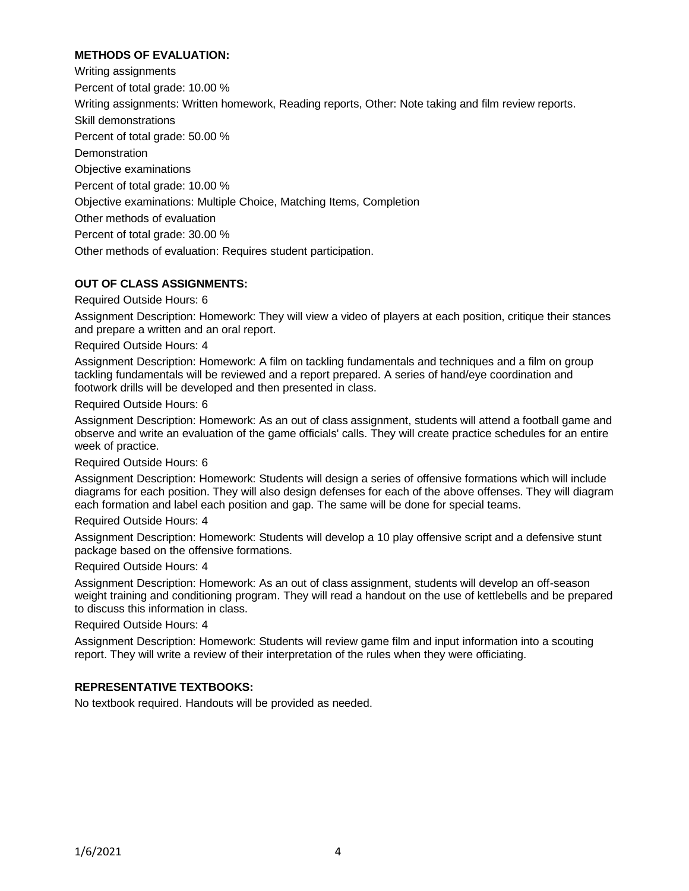## **METHODS OF EVALUATION:**

Writing assignments Percent of total grade: 10.00 % Writing assignments: Written homework, Reading reports, Other: Note taking and film review reports. Skill demonstrations Percent of total grade: 50.00 % **Demonstration** Objective examinations Percent of total grade: 10.00 % Objective examinations: Multiple Choice, Matching Items, Completion Other methods of evaluation Percent of total grade: 30.00 % Other methods of evaluation: Requires student participation.

### **OUT OF CLASS ASSIGNMENTS:**

Required Outside Hours: 6

Assignment Description: Homework: They will view a video of players at each position, critique their stances and prepare a written and an oral report.

Required Outside Hours: 4

Assignment Description: Homework: A film on tackling fundamentals and techniques and a film on group tackling fundamentals will be reviewed and a report prepared. A series of hand/eye coordination and footwork drills will be developed and then presented in class.

Required Outside Hours: 6

Assignment Description: Homework: As an out of class assignment, students will attend a football game and observe and write an evaluation of the game officials' calls. They will create practice schedules for an entire week of practice.

Required Outside Hours: 6

Assignment Description: Homework: Students will design a series of offensive formations which will include diagrams for each position. They will also design defenses for each of the above offenses. They will diagram each formation and label each position and gap. The same will be done for special teams.

Required Outside Hours: 4

Assignment Description: Homework: Students will develop a 10 play offensive script and a defensive stunt package based on the offensive formations.

Required Outside Hours: 4

Assignment Description: Homework: As an out of class assignment, students will develop an off-season weight training and conditioning program. They will read a handout on the use of kettlebells and be prepared to discuss this information in class.

Required Outside Hours: 4

Assignment Description: Homework: Students will review game film and input information into a scouting report. They will write a review of their interpretation of the rules when they were officiating.

### **REPRESENTATIVE TEXTBOOKS:**

No textbook required. Handouts will be provided as needed.